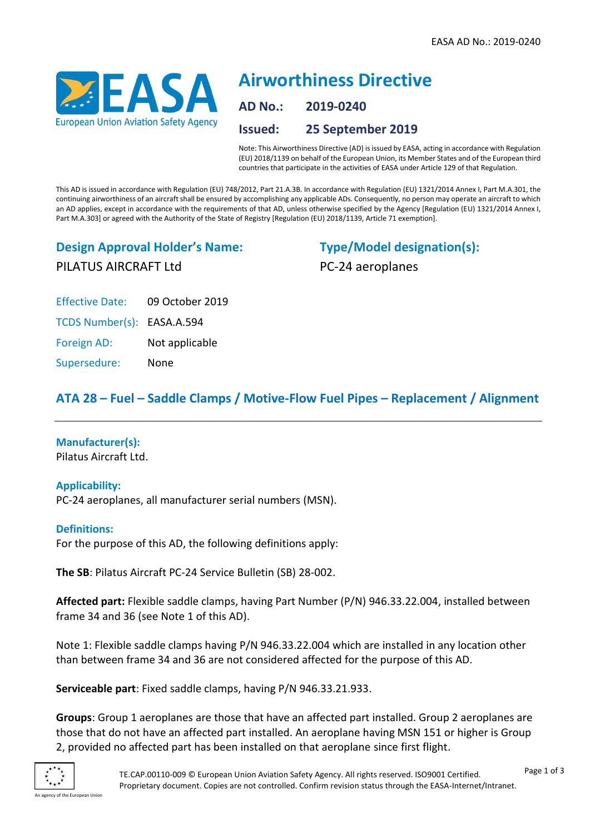

# **Airworthiness Directive AD No.: 2019-0240 Issued: 25 September 2019**

Note: This Airworthiness Directive (AD) is issued by EASA, acting in accordance with Regulation (EU) 2018/1139 on behalf of the European Union, its Member States and of the European third countries that participate in the activities of EASA under Article 129 of that Regulation.

This AD is issued in accordance with Regulation (EU) 748/2012, Part 21.A.3B. In accordance with Regulation (EU) 1321/2014 Annex I, Part M.A.301, the continuing airworthiness of an aircraft shall be ensured by accomplishing any applicable ADs. Consequently, no person may operate an aircraft to which an AD applies, except in accordance with the requirements of that AD, unless otherwise specified by the Agency [Regulation (EU) 1321/2014 Annex I, Part M.A.303] or agreed with the Authority of the State of Registry [Regulation (EU) 2018/1139, Article 71 exemption].

# **Design Approval Holder's Name:** PILATUS AIRCRAFT Ltd

**Type/Model designation(s):** PC-24 aeroplanes

Effective Date: 09 October 2019

TCDS Number(s): EASA.A.594

Foreign AD: Not applicable

Supersedure: None

# **ATA 28 – Fuel – Saddle Clamps / Motive-Flow Fuel Pipes – Replacement / Alignment**

## **Manufacturer(s):**

Pilatus Aircraft Ltd.

## **Applicability:**

PC-24 aeroplanes, all manufacturer serial numbers (MSN).

## **Definitions:**

For the purpose of this AD, the following definitions apply:

**The SB**: Pilatus Aircraft PC-24 Service Bulletin (SB) 28-002.

**Affected part:** Flexible saddle clamps, having Part Number (P/N) 946.33.22.004, installed between frame 34 and 36 (see Note 1 of this AD).

Note 1: Flexible saddle clamps having P/N 946.33.22.004 which are installed in any location other than between frame 34 and 36 are not considered affected for the purpose of this AD.

**Serviceable part**: Fixed saddle clamps, having P/N 946.33.21.933.

**Groups**: Group 1 aeroplanes are those that have an affected part installed. Group 2 aeroplanes are those that do not have an affected part installed. An aeroplane having MSN 151 or higher is Group 2, provided no affected part has been installed on that aeroplane since first flight.

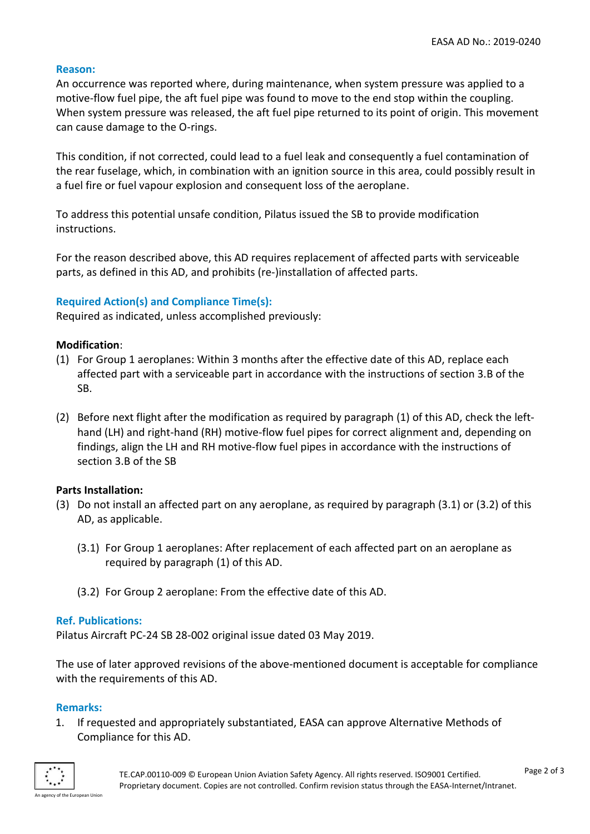#### **Reason:**

An occurrence was reported where, during maintenance, when system pressure was applied to a motive-flow fuel pipe, the aft fuel pipe was found to move to the end stop within the coupling. When system pressure was released, the aft fuel pipe returned to its point of origin. This movement can cause damage to the O-rings.

This condition, if not corrected, could lead to a fuel leak and consequently a fuel contamination of the rear fuselage, which, in combination with an ignition source in this area, could possibly result in a fuel fire or fuel vapour explosion and consequent loss of the aeroplane.

To address this potential unsafe condition, Pilatus issued the SB to provide modification instructions.

For the reason described above, this AD requires replacement of affected parts with serviceable parts, as defined in this AD, and prohibits (re-)installation of affected parts.

#### **Required Action(s) and Compliance Time(s):**

Required as indicated, unless accomplished previously:

#### **Modification**:

- (1) For Group 1 aeroplanes: Within 3 months after the effective date of this AD, replace each affected part with a serviceable part in accordance with the instructions of section 3.B of the SB.
- (2) Before next flight after the modification as required by paragraph (1) of this AD, check the lefthand (LH) and right-hand (RH) motive-flow fuel pipes for correct alignment and, depending on findings, align the LH and RH motive-flow fuel pipes in accordance with the instructions of section 3.B of the SB

#### **Parts Installation:**

- (3) Do not install an affected part on any aeroplane, as required by paragraph (3.1) or (3.2) of this AD, as applicable.
	- (3.1) For Group 1 aeroplanes: After replacement of each affected part on an aeroplane as required by paragraph (1) of this AD.
	- (3.2) For Group 2 aeroplane: From the effective date of this AD.

#### **Ref. Publications:**

Pilatus Aircraft PC-24 SB 28-002 original issue dated 03 May 2019.

The use of later approved revisions of the above-mentioned document is acceptable for compliance with the requirements of this AD.

#### **Remarks:**

1. If requested and appropriately substantiated, EASA can approve Alternative Methods of Compliance for this AD.